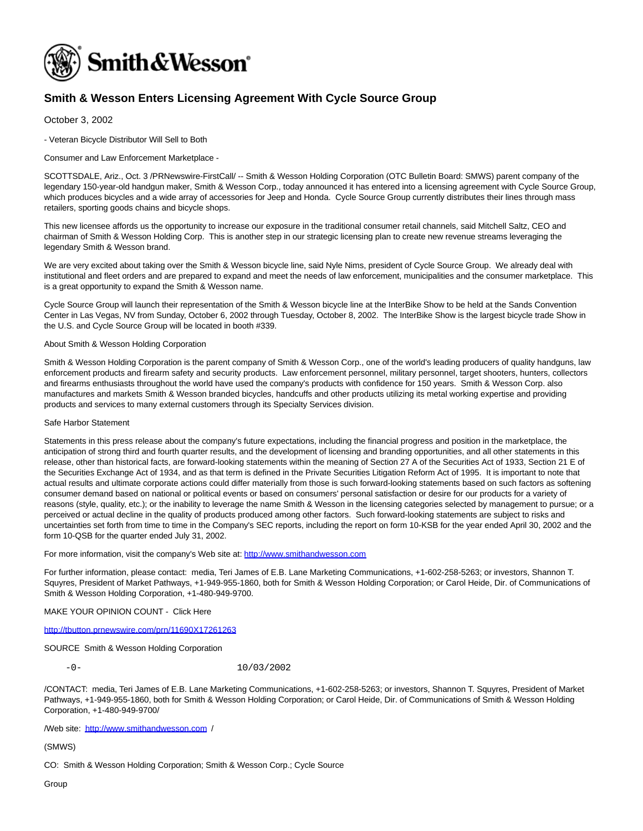

## **Smith & Wesson Enters Licensing Agreement With Cycle Source Group**

October 3, 2002

- Veteran Bicycle Distributor Will Sell to Both

Consumer and Law Enforcement Marketplace -

SCOTTSDALE, Ariz., Oct. 3 /PRNewswire-FirstCall/ -- Smith & Wesson Holding Corporation (OTC Bulletin Board: SMWS) parent company of the legendary 150-year-old handgun maker, Smith & Wesson Corp., today announced it has entered into a licensing agreement with Cycle Source Group, which produces bicycles and a wide array of accessories for Jeep and Honda. Cycle Source Group currently distributes their lines through mass retailers, sporting goods chains and bicycle shops.

This new licensee affords us the opportunity to increase our exposure in the traditional consumer retail channels, said Mitchell Saltz, CEO and chairman of Smith & Wesson Holding Corp. This is another step in our strategic licensing plan to create new revenue streams leveraging the legendary Smith & Wesson brand.

We are very excited about taking over the Smith & Wesson bicycle line, said Nyle Nims, president of Cycle Source Group. We already deal with institutional and fleet orders and are prepared to expand and meet the needs of law enforcement, municipalities and the consumer marketplace. This is a great opportunity to expand the Smith & Wesson name.

Cycle Source Group will launch their representation of the Smith & Wesson bicycle line at the InterBike Show to be held at the Sands Convention Center in Las Vegas, NV from Sunday, October 6, 2002 through Tuesday, October 8, 2002. The InterBike Show is the largest bicycle trade Show in the U.S. and Cycle Source Group will be located in booth #339.

## About Smith & Wesson Holding Corporation

Smith & Wesson Holding Corporation is the parent company of Smith & Wesson Corp., one of the world's leading producers of quality handguns, law enforcement products and firearm safety and security products. Law enforcement personnel, military personnel, target shooters, hunters, collectors and firearms enthusiasts throughout the world have used the company's products with confidence for 150 years. Smith & Wesson Corp. also manufactures and markets Smith & Wesson branded bicycles, handcuffs and other products utilizing its metal working expertise and providing products and services to many external customers through its Specialty Services division.

## Safe Harbor Statement

Statements in this press release about the company's future expectations, including the financial progress and position in the marketplace, the anticipation of strong third and fourth quarter results, and the development of licensing and branding opportunities, and all other statements in this release, other than historical facts, are forward-looking statements within the meaning of Section 27 A of the Securities Act of 1933, Section 21 E of the Securities Exchange Act of 1934, and as that term is defined in the Private Securities Litigation Reform Act of 1995. It is important to note that actual results and ultimate corporate actions could differ materially from those is such forward-looking statements based on such factors as softening consumer demand based on national or political events or based on consumers' personal satisfaction or desire for our products for a variety of reasons (style, quality, etc.); or the inability to leverage the name Smith & Wesson in the licensing categories selected by management to pursue; or a perceived or actual decline in the quality of products produced among other factors. Such forward-looking statements are subject to risks and uncertainties set forth from time to time in the Company's SEC reports, including the report on form 10-KSB for the year ended April 30, 2002 and the form 10-QSB for the quarter ended July 31, 2002.

For more information, visit the company's Web site at: [http://www.smithandwesson.com](http://www.smithandwesson.com/)

For further information, please contact: media, Teri James of E.B. Lane Marketing Communications, +1-602-258-5263; or investors, Shannon T. Squyres, President of Market Pathways, +1-949-955-1860, both for Smith & Wesson Holding Corporation; or Carol Heide, Dir. of Communications of Smith & Wesson Holding Corporation, +1-480-949-9700.

MAKE YOUR OPINION COUNT - Click Here

<http://tbutton.prnewswire.com/prn/11690X17261263>

SOURCE Smith & Wesson Holding Corporation

-0- 10/03/2002

/CONTACT: media, Teri James of E.B. Lane Marketing Communications, +1-602-258-5263; or investors, Shannon T. Squyres, President of Market Pathways, +1-949-955-1860, both for Smith & Wesson Holding Corporation; or Carol Heide, Dir. of Communications of Smith & Wesson Holding Corporation, +1-480-949-9700/

/Web site: [http://www.smithandwesson.com](http://www.smithandwesson.com/) /

(SMWS)

CO: Smith & Wesson Holding Corporation; Smith & Wesson Corp.; Cycle Source

Group